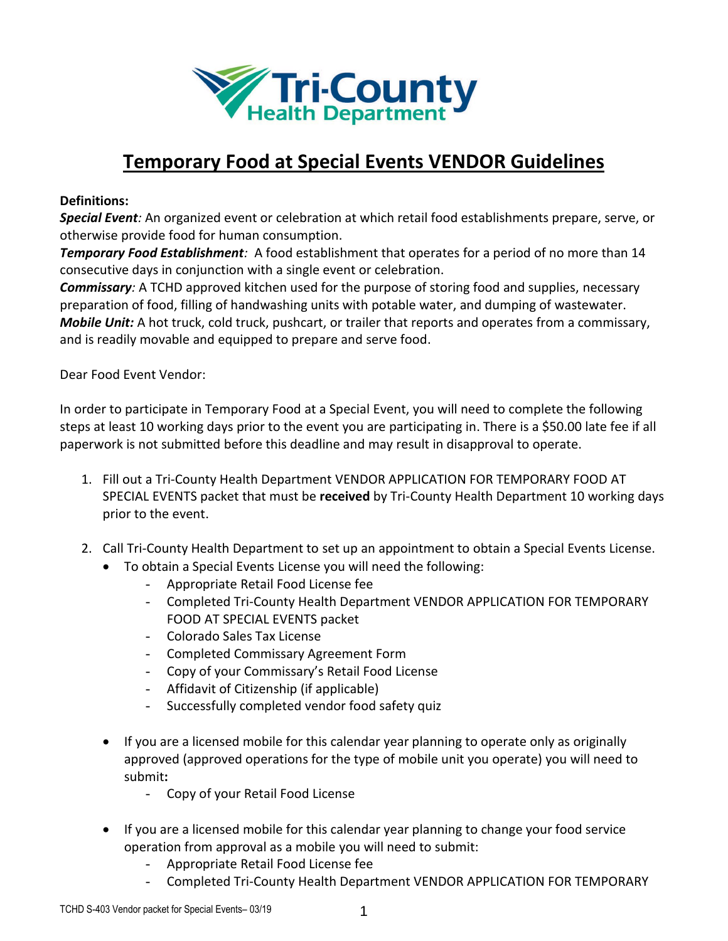

# **Temporary Food at Special Events VENDOR Guidelines**

#### **Definitions:**

*Special Event:* An organized event or celebration at which retail food establishments prepare, serve, or otherwise provide food for human consumption.

*Temporary Food Establishment:* A food establishment that operates for a period of no more than 14 consecutive days in conjunction with a single event or celebration.

*Commissary:* A TCHD approved kitchen used for the purpose of storing food and supplies, necessary preparation of food, filling of handwashing units with potable water, and dumping of wastewater. *Mobile Unit:* A hot truck, cold truck, pushcart, or trailer that reports and operates from a commissary, and is readily movable and equipped to prepare and serve food.

Dear Food Event Vendor:

In order to participate in Temporary Food at a Special Event, you will need to complete the following steps at least 10 working days prior to the event you are participating in. There is a \$50.00 late fee if all paperwork is not submitted before this deadline and may result in disapproval to operate.

- 1. Fill out a Tri-County Health Department VENDOR APPLICATION FOR TEMPORARY FOOD AT SPECIAL EVENTS packet that must be **received** by Tri-County Health Department 10 working days prior to the event.
- 2. Call Tri-County Health Department to set up an appointment to obtain a Special Events License.
	- To obtain a Special Events License you will need the following:
		- Appropriate Retail Food License fee
		- Completed Tri-County Health Department VENDOR APPLICATION FOR TEMPORARY FOOD AT SPECIAL EVENTS packet
		- Colorado Sales Tax License
		- Completed Commissary Agreement Form
		- Copy of your Commissary's Retail Food License
		- Affidavit of Citizenship (if applicable)
		- Successfully completed vendor food safety quiz
	- If you are a licensed mobile for this calendar year planning to operate only as originally approved (approved operations for the type of mobile unit you operate) you will need to submit**:** 
		- Copy of your Retail Food License
	- If you are a licensed mobile for this calendar year planning to change your food service operation from approval as a mobile you will need to submit:
		- Appropriate Retail Food License fee
		- Completed Tri-County Health Department VENDOR APPLICATION FOR TEMPORARY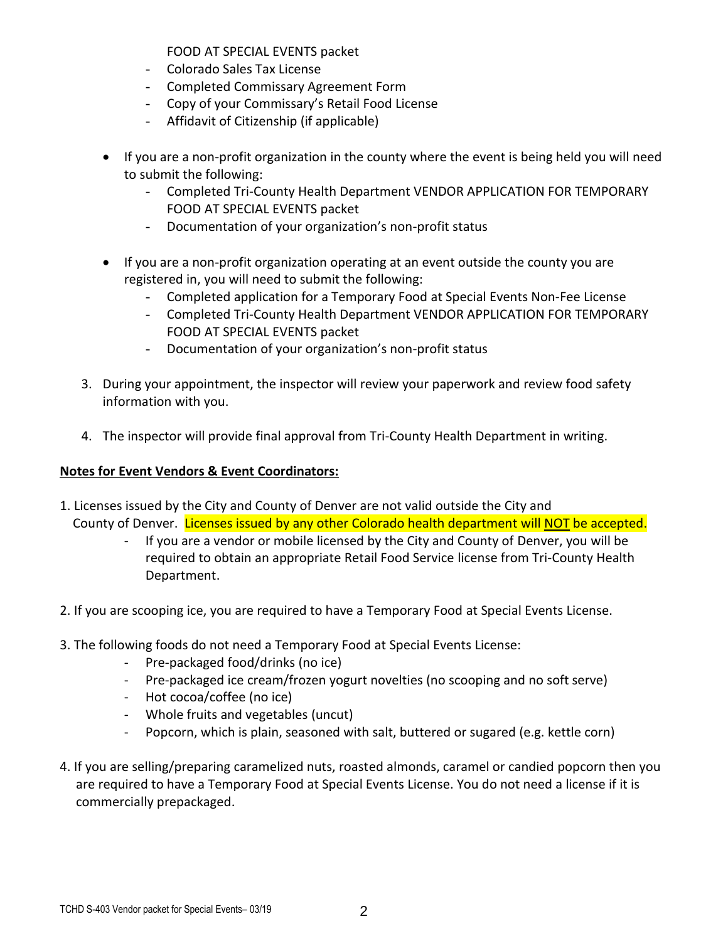FOOD AT SPECIAL EVENTS packet

- Colorado Sales Tax License
- Completed Commissary Agreement Form
- Copy of your Commissary's Retail Food License
- Affidavit of Citizenship (if applicable)
- If you are a non-profit organization in the county where the event is being held you will need to submit the following:
	- Completed Tri-County Health Department VENDOR APPLICATION FOR TEMPORARY FOOD AT SPECIAL EVENTS packet
	- Documentation of your organization's non-profit status
- If you are a non-profit organization operating at an event outside the county you are registered in, you will need to submit the following:
	- Completed application for a Temporary Food at Special Events Non-Fee License
	- Completed Tri-County Health Department VENDOR APPLICATION FOR TEMPORARY FOOD AT SPECIAL EVENTS packet
	- Documentation of your organization's non-profit status
- 3. During your appointment, the inspector will review your paperwork and review food safety information with you.
- 4. The inspector will provide final approval from Tri-County Health Department in writing.

# **Notes for Event Vendors & Event Coordinators:**

- 1. Licenses issued by the City and County of Denver are not valid outside the City and County of Denver.Licenses issued by any other Colorado health department will NOT be accepted.
	- If you are a vendor or mobile licensed by the City and County of Denver, you will be required to obtain an appropriate Retail Food Service license from Tri-County Health Department.
- 2. If you are scooping ice, you are required to have a Temporary Food at Special Events License.
- 3. The following foods do not need a Temporary Food at Special Events License:
	- Pre-packaged food/drinks (no ice)
	- Pre-packaged ice cream/frozen yogurt novelties (no scooping and no soft serve)
	- Hot cocoa/coffee (no ice)
	- Whole fruits and vegetables (uncut)
	- Popcorn, which is plain, seasoned with salt, buttered or sugared (e.g. kettle corn)
- 4. If you are selling/preparing caramelized nuts, roasted almonds, caramel or candied popcorn then you are required to have a Temporary Food at Special Events License. You do not need a license if it is commercially prepackaged.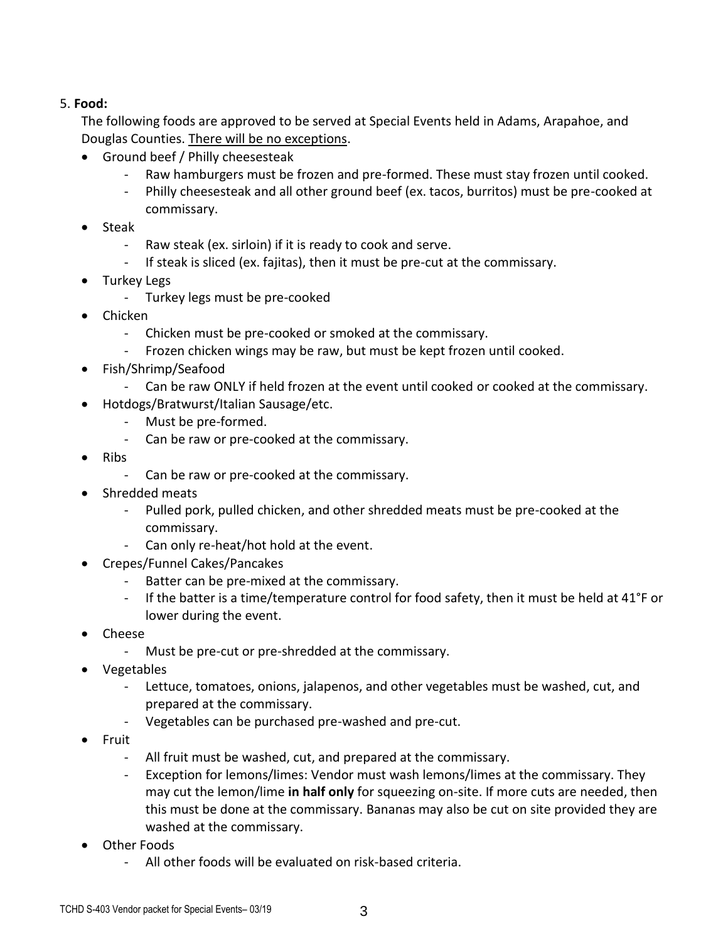### 5. **Food:**

The following foods are approved to be served at Special Events held in Adams, Arapahoe, and Douglas Counties. There will be no exceptions.

- Ground beef / Philly cheesesteak
	- Raw hamburgers must be frozen and pre-formed. These must stay frozen until cooked.
	- Philly cheesesteak and all other ground beef (ex. tacos, burritos) must be pre-cooked at commissary.
- Steak
	- Raw steak (ex. sirloin) if it is ready to cook and serve.
	- If steak is sliced (ex. fajitas), then it must be pre-cut at the commissary.
- Turkey Legs
	- Turkey legs must be pre-cooked
- Chicken
	- Chicken must be pre-cooked or smoked at the commissary.
	- Frozen chicken wings may be raw, but must be kept frozen until cooked.
- Fish/Shrimp/Seafood
	- Can be raw ONLY if held frozen at the event until cooked or cooked at the commissary.
- Hotdogs/Bratwurst/Italian Sausage/etc.
	- Must be pre-formed.
	- Can be raw or pre-cooked at the commissary.
- Ribs
	- Can be raw or pre-cooked at the commissary.
- Shredded meats
	- Pulled pork, pulled chicken, and other shredded meats must be pre-cooked at the commissary.
	- Can only re-heat/hot hold at the event.
- Crepes/Funnel Cakes/Pancakes
	- Batter can be pre-mixed at the commissary.
	- If the batter is a time/temperature control for food safety, then it must be held at 41°F or lower during the event.
- Cheese
	- Must be pre-cut or pre-shredded at the commissary.
- Vegetables
	- Lettuce, tomatoes, onions, jalapenos, and other vegetables must be washed, cut, and prepared at the commissary.
	- Vegetables can be purchased pre-washed and pre-cut.
- Fruit
	- All fruit must be washed, cut, and prepared at the commissary.
	- Exception for lemons/limes: Vendor must wash lemons/limes at the commissary. They may cut the lemon/lime **in half only** for squeezing on-site. If more cuts are needed, then this must be done at the commissary. Bananas may also be cut on site provided they are washed at the commissary.
- Other Foods
	- All other foods will be evaluated on risk-based criteria.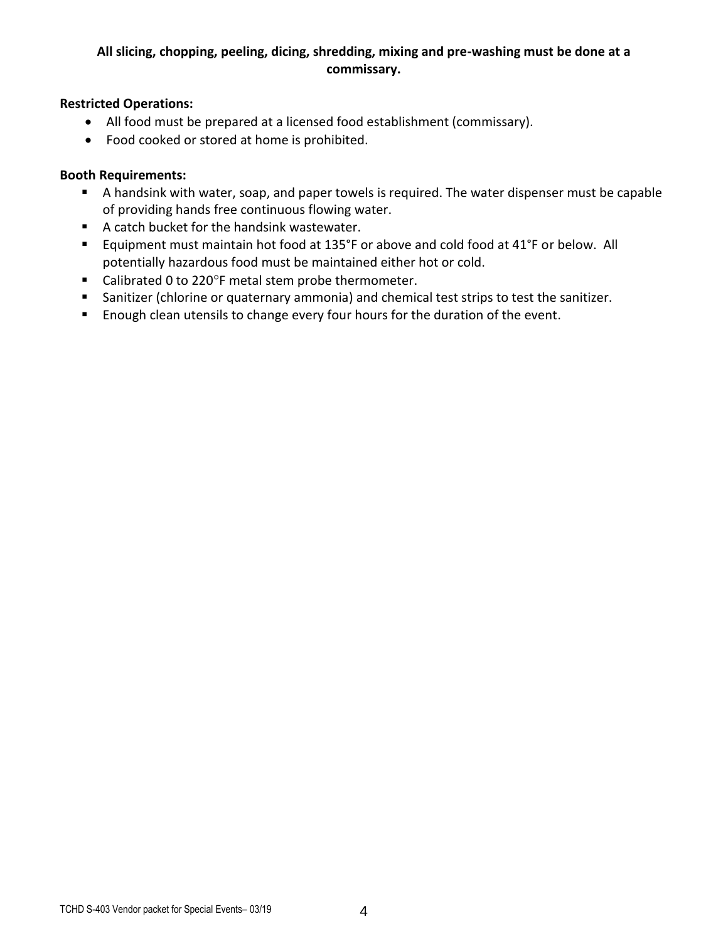## **All slicing, chopping, peeling, dicing, shredding, mixing and pre-washing must be done at a commissary.**

#### **Restricted Operations:**

- All food must be prepared at a licensed food establishment (commissary).
- Food cooked or stored at home is prohibited.

#### **Booth Requirements:**

- A handsink with water, soap, and paper towels is required. The water dispenser must be capable of providing hands free continuous flowing water.
- A catch bucket for the handsink wastewater.
- Equipment must maintain hot food at 135°F or above and cold food at 41°F or below. All potentially hazardous food must be maintained either hot or cold.
- Calibrated 0 to 220°F metal stem probe thermometer.
- Sanitizer (chlorine or quaternary ammonia) and chemical test strips to test the sanitizer.
- **Enough clean utensils to change every four hours for the duration of the event.**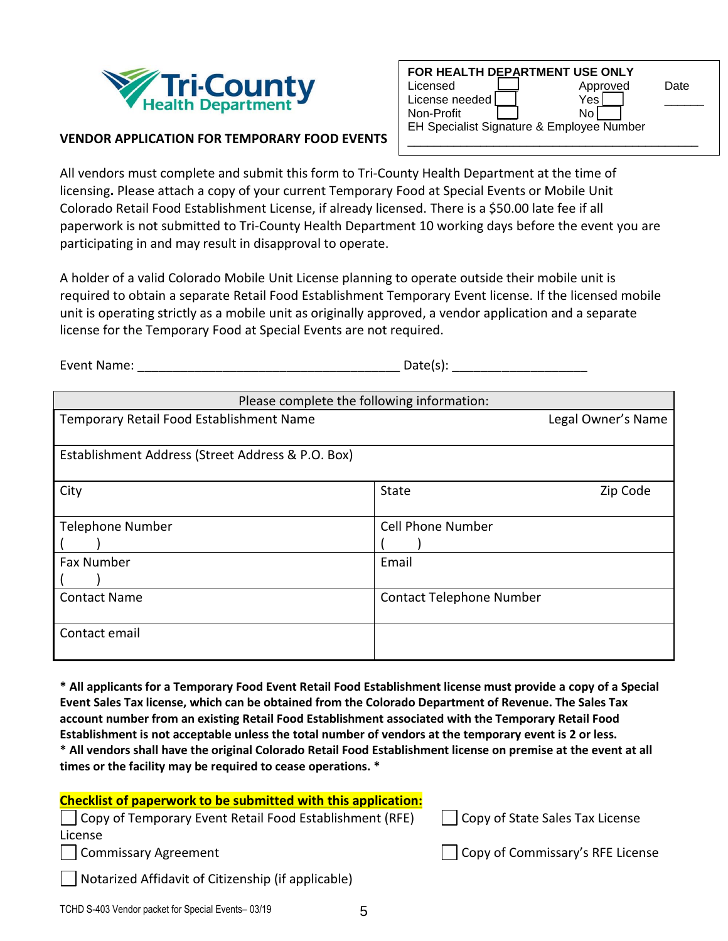

| FOR HEALTH DEPARTMENT USE ONLY            |          |      |
|-------------------------------------------|----------|------|
| Licensed                                  | Approved | Date |
| License needed                            | Yes      |      |
| Non-Profit                                | No       |      |
| EH Specialist Signature & Employee Number |          |      |
|                                           |          |      |

#### **VENDOR APPLICATION FOR TEMPORARY FOOD EVENTS**

All vendors must complete and submit this form to Tri-County Health Department at the time of licensing**.** Please attach a copy of your current Temporary Food at Special Events or Mobile Unit Colorado Retail Food Establishment License, if already licensed. There is a \$50.00 late fee if all paperwork is not submitted to Tri-County Health Department 10 working days before the event you are participating in and may result in disapproval to operate.

A holder of a valid Colorado Mobile Unit License planning to operate outside their mobile unit is required to obtain a separate Retail Food Establishment Temporary Event license. If the licensed mobile unit is operating strictly as a mobile unit as originally approved, a vendor application and a separate license for the Temporary Food at Special Events are not required.

Event Name: The contract of the contract of the Date(s):  $Date(s)$ :

| Please complete the following information:        |                                 |
|---------------------------------------------------|---------------------------------|
| Temporary Retail Food Establishment Name          | Legal Owner's Name              |
|                                                   |                                 |
| Establishment Address (Street Address & P.O. Box) |                                 |
|                                                   |                                 |
| City                                              | <b>State</b><br>Zip Code        |
|                                                   |                                 |
| <b>Telephone Number</b>                           | <b>Cell Phone Number</b>        |
|                                                   |                                 |
| <b>Fax Number</b>                                 | Email                           |
|                                                   |                                 |
| <b>Contact Name</b>                               | <b>Contact Telephone Number</b> |
|                                                   |                                 |
| Contact email                                     |                                 |
|                                                   |                                 |

**\* All applicants for a Temporary Food Event Retail Food Establishment license must provide a copy of a Special Event Sales Tax license, which can be obtained from the Colorado Department of Revenue. The Sales Tax account number from an existing Retail Food Establishment associated with the Temporary Retail Food Establishment is not acceptable unless the total number of vendors at the temporary event is 2 or less. \* All vendors shall have the original Colorado Retail Food Establishment license on premise at the event at all times or the facility may be required to cease operations. \***

| <b>Checklist of paperwork to be submitted with this application:</b> |                                  |
|----------------------------------------------------------------------|----------------------------------|
| Copy of Temporary Event Retail Food Establishment (RFE)              | Copy of State Sales Tax License  |
| License                                                              |                                  |
| Commissary Agreement                                                 | Copy of Commissary's RFE License |
| $\Box$ Notarized Affidavit of Citizenship (if applicable)            |                                  |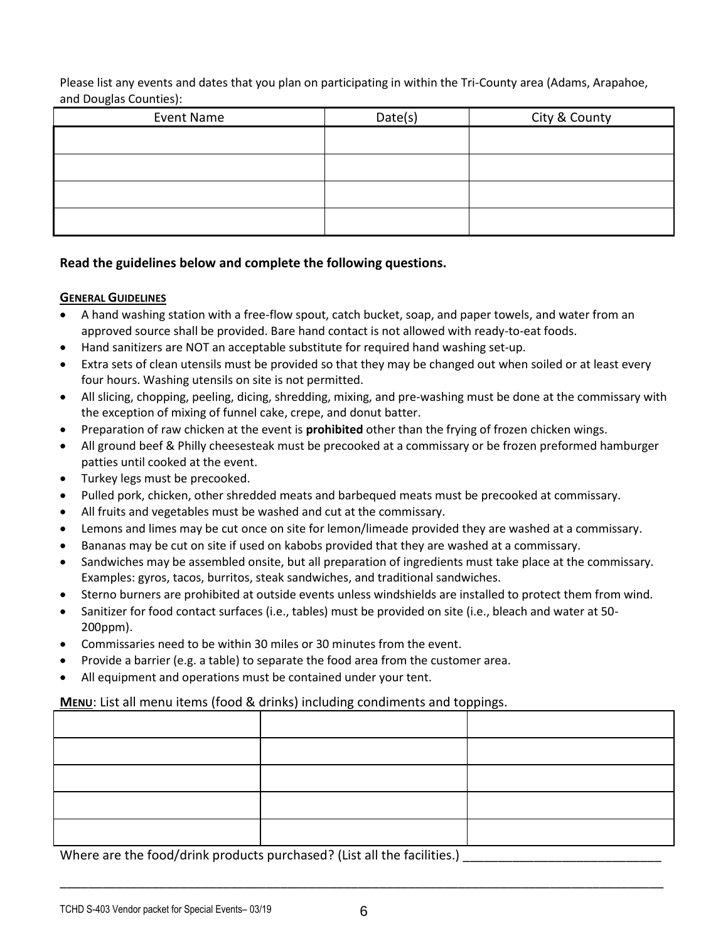Please list any events and dates that you plan on participating in within the Tri-County area (Adams, Arapahoe, and Douglas Counties):

| Event Name | Date(s) | City & County |
|------------|---------|---------------|
|            |         |               |
|            |         |               |
|            |         |               |
|            |         |               |

#### **Read the guidelines below and complete the following questions.**

#### **GENERAL GUIDELINES**

- A hand washing station with a free-flow spout, catch bucket, soap, and paper towels, and water from an approved source shall be provided. Bare hand contact is not allowed with ready-to-eat foods.
- Hand sanitizers are NOT an acceptable substitute for required hand washing set-up.
- Extra sets of clean utensils must be provided so that they may be changed out when soiled or at least every four hours. Washing utensils on site is not permitted.
- All slicing, chopping, peeling, dicing, shredding, mixing, and pre-washing must be done at the commissary with the exception of mixing of funnel cake, crepe, and donut batter.
- Preparation of raw chicken at the event is **prohibited** other than the frying of frozen chicken wings.
- All ground beef & Philly cheesesteak must be precooked at a commissary or be frozen preformed hamburger patties until cooked at the event.
- Turkey legs must be precooked.
- Pulled pork, chicken, other shredded meats and barbequed meats must be precooked at commissary.
- All fruits and vegetables must be washed and cut at the commissary.
- Lemons and limes may be cut once on site for lemon/limeade provided they are washed at a commissary.
- Bananas may be cut on site if used on kabobs provided that they are washed at a commissary.
- Sandwiches may be assembled onsite, but all preparation of ingredients must take place at the commissary. Examples: gyros, tacos, burritos, steak sandwiches, and traditional sandwiches.
- Sterno burners are prohibited at outside events unless windshields are installed to protect them from wind.
- Sanitizer for food contact surfaces (i.e., tables) must be provided on site (i.e., bleach and water at 50- 200ppm).
- Commissaries need to be within 30 miles or 30 minutes from the event.
- Provide a barrier (e.g. a table) to separate the food area from the customer area.
- All equipment and operations must be contained under your tent.

#### **MENU:** List all menu items (food & drinks) including condiments and toppings.

Where are the food/drink products purchased? (List all the facilities.)

\_\_\_\_\_\_\_\_\_\_\_\_\_\_\_\_\_\_\_\_\_\_\_\_\_\_\_\_\_\_\_\_\_\_\_\_\_\_\_\_\_\_\_\_\_\_\_\_\_\_\_\_\_\_\_\_\_\_\_\_\_\_\_\_\_\_\_\_\_\_\_\_\_\_\_\_\_\_\_\_\_\_\_\_\_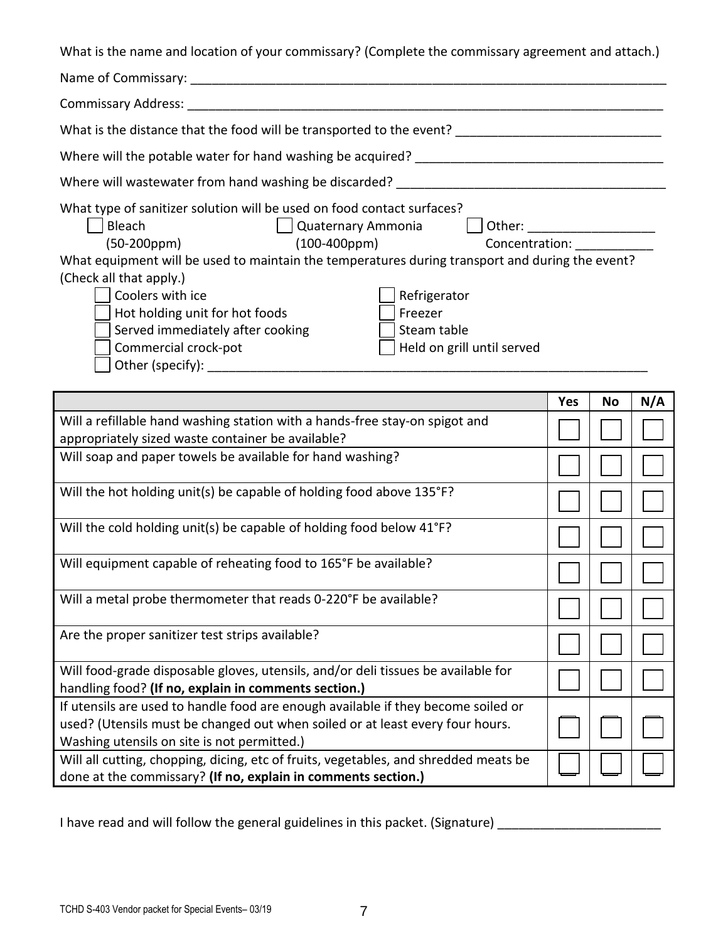What is the name and location of your commissary? (Complete the commissary agreement and attach.)

|                                                                                                 | <b>Yes</b> | No | N/A |
|-------------------------------------------------------------------------------------------------|------------|----|-----|
|                                                                                                 |            |    |     |
| Held on grill until served<br>Commercial crock-pot                                              |            |    |     |
| Served immediately after cooking<br>Steam table                                                 |            |    |     |
| Hot holding unit for hot foods<br>Freezer                                                       |            |    |     |
| Coolers with ice<br>Refrigerator                                                                |            |    |     |
| (Check all that apply.)                                                                         |            |    |     |
| What equipment will be used to maintain the temperatures during transport and during the event? |            |    |     |
| $(100 - 400$ ppm $)$                                                                            |            |    |     |
|                                                                                                 |            |    |     |
| What type of sanitizer solution will be used on food contact surfaces?                          |            |    |     |
| Where will wastewater from hand washing be discarded? ___________________________               |            |    |     |
|                                                                                                 |            |    |     |
| What is the distance that the food will be transported to the event?                            |            |    |     |
|                                                                                                 |            |    |     |
|                                                                                                 |            |    |     |
|                                                                                                 |            |    |     |

|                                                                                                                                                                                                                   | 1 es | IVΟ | IV/A |
|-------------------------------------------------------------------------------------------------------------------------------------------------------------------------------------------------------------------|------|-----|------|
| Will a refillable hand washing station with a hands-free stay-on spigot and<br>appropriately sized waste container be available?                                                                                  |      |     |      |
| Will soap and paper towels be available for hand washing?                                                                                                                                                         |      |     |      |
| Will the hot holding unit(s) be capable of holding food above 135°F?                                                                                                                                              |      |     |      |
| Will the cold holding unit(s) be capable of holding food below 41°F?                                                                                                                                              |      |     |      |
| Will equipment capable of reheating food to 165°F be available?                                                                                                                                                   |      |     |      |
| Will a metal probe thermometer that reads 0-220°F be available?                                                                                                                                                   |      |     |      |
| Are the proper sanitizer test strips available?                                                                                                                                                                   |      |     |      |
| Will food-grade disposable gloves, utensils, and/or deli tissues be available for<br>handling food? (If no, explain in comments section.)                                                                         |      |     |      |
| If utensils are used to handle food are enough available if they become soiled or<br>used? (Utensils must be changed out when soiled or at least every four hours.<br>Washing utensils on site is not permitted.) |      |     |      |
| Will all cutting, chopping, dicing, etc of fruits, vegetables, and shredded meats be<br>done at the commissary? (If no, explain in comments section.)                                                             |      |     |      |

I have read and will follow the general guidelines in this packet. (Signature) \_\_\_\_\_\_\_\_\_\_\_\_\_\_\_\_\_\_\_\_\_\_\_\_\_\_\_\_\_\_\_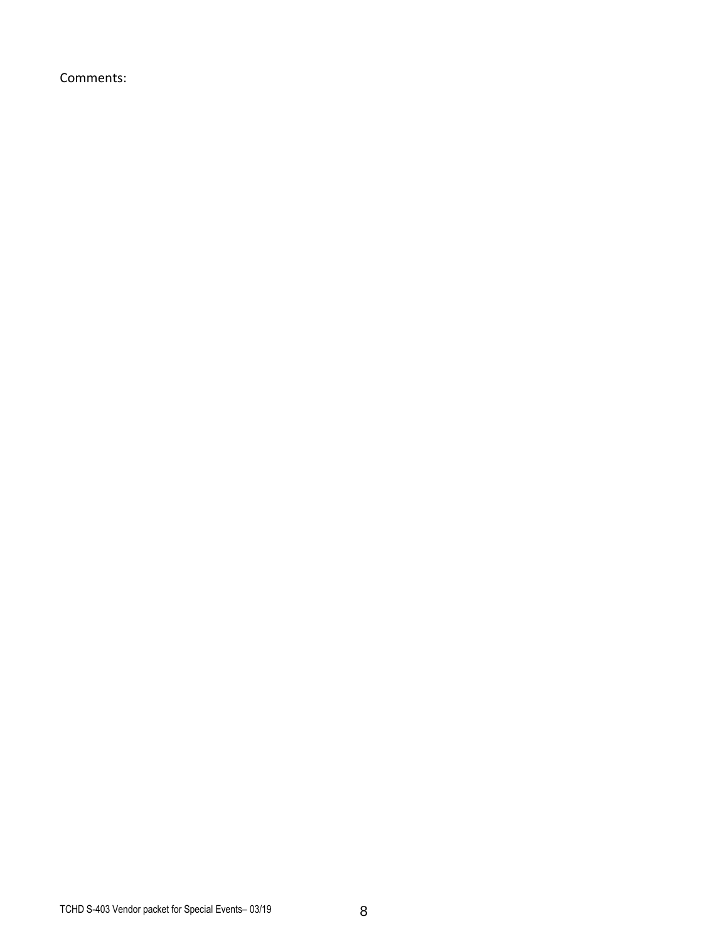Comments: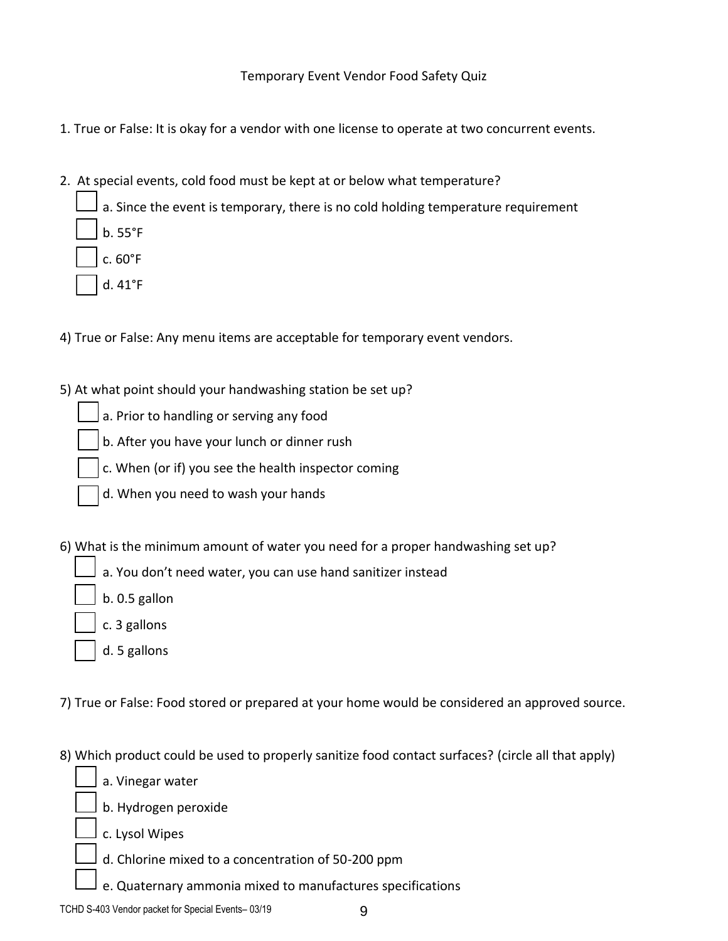Temporary Event Vendor Food Safety Quiz

- 1. True or False: It is okay for a vendor with one license to operate at two concurrent events.
- 2. At special events, cold food must be kept at or below what temperature?
	- a. Since the event is temporary, there is no cold holding temperature requirement b. 55°F
		- c. 60°F
		- d. 41°F
- 4) True or False: Any menu items are acceptable for temporary event vendors.
- 5) At what point should your handwashing station be set up?
	- a. Prior to handling or serving any food
	- b. After you have your lunch or dinner rush
	- c. When (or if) you see the health inspector coming
	- d. When you need to wash your hands
- 6) What is the minimum amount of water you need for a proper handwashing set up?
	- a. You don't need water, you can use hand sanitizer instead
	- b. 0.5 gallon
	- c. 3 gallons
	- d. 5 gallons
- 7) True or False: Food stored or prepared at your home would be considered an approved source.
- 8) Which product could be used to properly sanitize food contact surfaces? (circle all that apply)
	- a. Vinegar water
	- b. Hydrogen peroxide
	- c. Lysol Wipes
	- d. Chlorine mixed to a concentration of 50-200 ppm
	- e. Quaternary ammonia mixed to manufactures specifications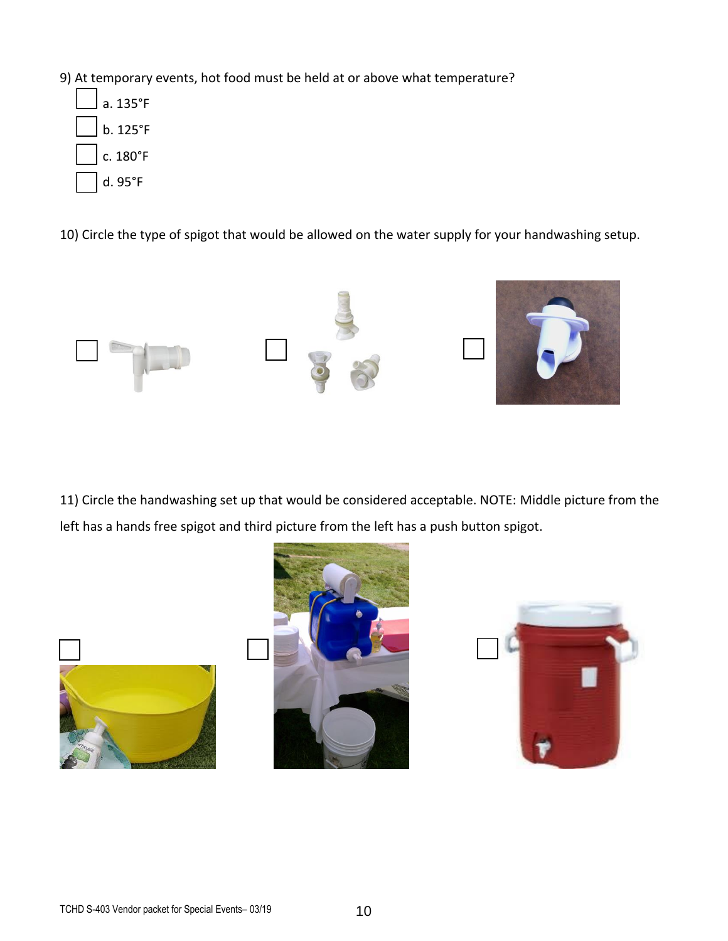- 9) At temporary events, hot food must be held at or above what temperature?
	- a. 135°F b. 125°F c. 180°F d. 95°F

10) Circle the type of spigot that would be allowed on the water supply for your handwashing setup.



11) Circle the handwashing set up that would be considered acceptable. NOTE: Middle picture from the left has a hands free spigot and third picture from the left has a push button spigot.